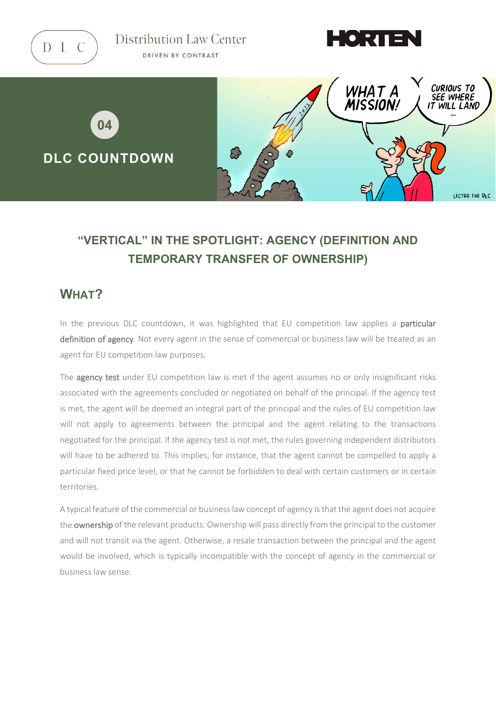

Distribution Law Center DRIVEN BY CONTRAST





# **"VERTICAL" IN THE SPOTLIGHT: AGENCY (DEFINITION AND TEMPORARY TRANSFER OF OWNERSHIP)**

### **WHAT?**

In the previous DLC countdown, it was highlighted that EU competition law applies a particular definition of agency. Not every agent in the sense of commercial or business law will be treated as an agent for EU competition law purposes.

The **agency test** under EU competition law is met if the agent assumes no or only insignificant risks associated with the agreements concluded or negotiated on behalf of the principal. If the agency test is met, the agent will be deemed an integral part of the principal and the rules of EU competition law will not apply to agreements between the principal and the agent relating to the transactions negotiated for the principal. If the agency test is not met, the rules governing independent distributors will have to be adhered to. This implies, for instance, that the agent cannot be compelled to apply a particular fixed price level, or that he cannot be forbidden to deal with certain customers or in certain territories.

A typical feature of the commercial or business law concept of agency is that the agent does not acquire the ownership of the relevant products. Ownership will pass directly from the principal to the customer and will not transit via the agent. Otherwise, a resale transaction between the principal and the agent would be involved, which is typically incompatible with the concept of agency in the commercial or business law sense.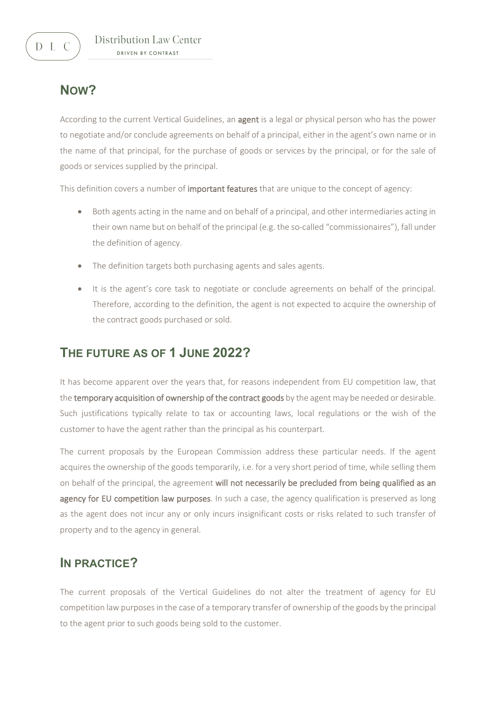## **NOW?**

According to the current Vertical Guidelines, an agent is a legal or physical person who has the power to negotiate and/or conclude agreements on behalf of a principal, either in the agent's own name or in the name of that principal, for the purchase of goods or services by the principal, or for the sale of goods or services supplied by the principal.

This definition covers a number of **important features** that are unique to the concept of agency:

- Both agents acting in the name and on behalf of a principal, and other intermediaries acting in their own name but on behalf of the principal (e.g. the so-called "commissionaires"), fall under the definition of agency.
- The definition targets both purchasing agents and sales agents.
- It is the agent's core task to negotiate or conclude agreements on behalf of the principal. Therefore, according to the definition, the agent is not expected to acquire the ownership of the contract goods purchased or sold.

### **THE FUTURE AS OF 1 JUNE 2022?**

It has become apparent over the years that, for reasons independent from EU competition law, that the temporary acquisition of ownership of the contract goods by the agent may be needed or desirable. Such justifications typically relate to tax or accounting laws, local regulations or the wish of the customer to have the agent rather than the principal as his counterpart.

The current proposals by the European Commission address these particular needs. If the agent acquires the ownership of the goods temporarily, i.e. for a very short period of time, while selling them on behalf of the principal, the agreement will not necessarily be precluded from being qualified as an agency for EU competition law purposes. In such a case, the agency qualification is preserved as long as the agent does not incur any or only incurs insignificant costs or risks related to such transfer of property and to the agency in general.

#### **IN PRACTICE?**

The current proposals of the Vertical Guidelines do not alter the treatment of agency for EU competition law purposes in the case of a temporary transfer of ownership of the goods by the principal to the agent prior to such goods being sold to the customer.

 $D L C$